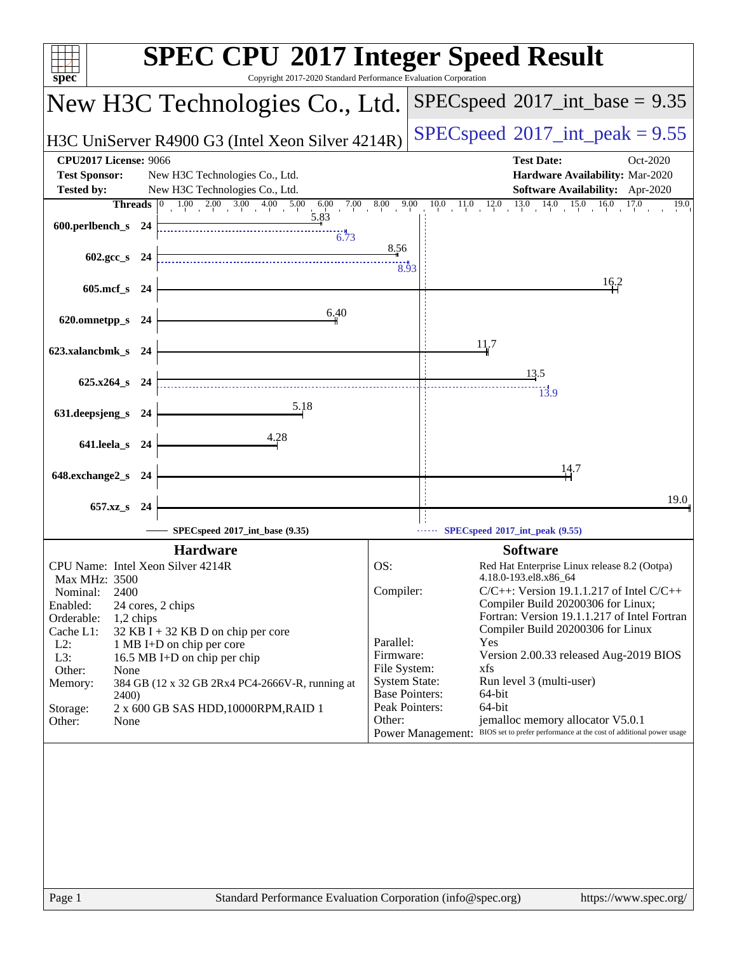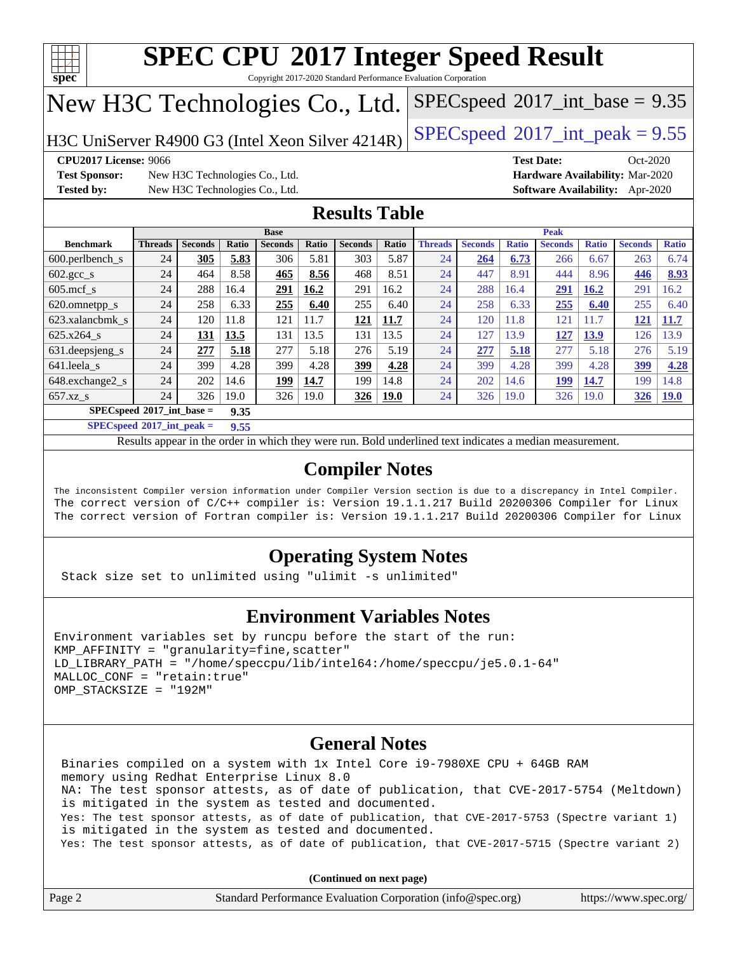

Copyright 2017-2020 Standard Performance Evaluation Corporation

## New H3C Technologies Co., Ltd.

H3C UniServer R4900 G3 (Intel Xeon Silver  $4214R$ ) [SPECspeed](http://www.spec.org/auto/cpu2017/Docs/result-fields.html#SPECspeed2017intpeak)®[2017\\_int\\_peak = 9](http://www.spec.org/auto/cpu2017/Docs/result-fields.html#SPECspeed2017intpeak).55

 $SPECspeed^{\circledcirc}2017\_int\_base = 9.35$  $SPECspeed^{\circledcirc}2017\_int\_base = 9.35$ 

**[CPU2017 License:](http://www.spec.org/auto/cpu2017/Docs/result-fields.html#CPU2017License)** 9066 **[Test Date:](http://www.spec.org/auto/cpu2017/Docs/result-fields.html#TestDate)** Oct-2020

**[Test Sponsor:](http://www.spec.org/auto/cpu2017/Docs/result-fields.html#TestSponsor)** New H3C Technologies Co., Ltd. **[Hardware Availability:](http://www.spec.org/auto/cpu2017/Docs/result-fields.html#HardwareAvailability)** Mar-2020 **[Tested by:](http://www.spec.org/auto/cpu2017/Docs/result-fields.html#Testedby)** New H3C Technologies Co., Ltd. **[Software Availability:](http://www.spec.org/auto/cpu2017/Docs/result-fields.html#SoftwareAvailability)** Apr-2020

### **[Results Table](http://www.spec.org/auto/cpu2017/Docs/result-fields.html#ResultsTable)**

|                                            | <b>Base</b>    |                |              |                | <b>Peak</b> |                |             |                |                |              |                |              |                |              |
|--------------------------------------------|----------------|----------------|--------------|----------------|-------------|----------------|-------------|----------------|----------------|--------------|----------------|--------------|----------------|--------------|
| <b>Benchmark</b>                           | <b>Threads</b> | <b>Seconds</b> | <b>Ratio</b> | <b>Seconds</b> | Ratio       | <b>Seconds</b> | Ratio       | <b>Threads</b> | <b>Seconds</b> | <b>Ratio</b> | <b>Seconds</b> | <b>Ratio</b> | <b>Seconds</b> | <b>Ratio</b> |
| 600.perlbench_s                            | 24             | 305            | 5.83         | 306            | 5.81        | 303            | 5.87        | 24             | 264            | 6.73         | 266            | 6.67         | 263            | 6.74         |
| $602.\text{gcc}\_\text{s}$                 | 24             | 464            | 8.58         | 465            | 8.56        | 468            | 8.51        | 24             | 447            | 8.91         | 444            | 8.96         | 446            | 8.93         |
| $605$ .mcf s                               | 24             | 288            | 16.4         | 291            | 16.2        | 291            | 16.2        | 24             | 288            | 16.4         | 291            | 16.2         | 291            | 16.2         |
| 620.omnetpp_s                              | 24             | 258            | 6.33         | 255            | 6.40        | 255            | 6.40        | 24             | 258            | 6.33         | 255            | 6.40         | 255            | 6.40         |
| 623.xalancbmk s                            | 24             | 120            | 11.8         | 121            | 11.7        | 121            | 11.7        | 24             | 120            | 11.8         | 121            | 11.7         | 121            | 11.7         |
| 625.x264 s                                 | 24             | 131            | 13.5         | 131            | 13.5        | 131            | 13.5        | 24             | 127            | 13.9         | 127            | 13.9         | 126            | 13.9         |
| 631.deepsjeng_s                            | 24             | 277            | 5.18         | 277            | 5.18        | 276            | 5.19        | 24             | 277            | 5.18         | 277            | 5.18         | 276            | 5.19         |
| 641.leela s                                | 24             | 399            | 4.28         | 399            | 4.28        | 399            | 4.28        | 24             | 399            | 4.28         | 399            | 4.28         | 399            | 4.28         |
| 648.exchange2_s                            | 24             | 202            | 14.6         | 199            | 14.7        | 199            | 14.8        | 24             | 202            | 14.6         | <u>199</u>     | 14.7         | 199            | 14.8         |
| $657.xz$ s                                 | 24             | 326            | 19.0         | 326            | 19.0        | 326            | <u>19.0</u> | 24             | 326            | 19.0         | 326            | 19.0         | 326            | <u>19.0</u>  |
| $SPECspeed^{\circ}2017$ int base =<br>9.35 |                |                |              |                |             |                |             |                |                |              |                |              |                |              |

**[SPECspeed](http://www.spec.org/auto/cpu2017/Docs/result-fields.html#SPECspeed2017intpeak)[2017\\_int\\_peak =](http://www.spec.org/auto/cpu2017/Docs/result-fields.html#SPECspeed2017intpeak) 9.55**

Results appear in the [order in which they were run.](http://www.spec.org/auto/cpu2017/Docs/result-fields.html#RunOrder) Bold underlined text [indicates a median measurement](http://www.spec.org/auto/cpu2017/Docs/result-fields.html#Median).

### **[Compiler Notes](http://www.spec.org/auto/cpu2017/Docs/result-fields.html#CompilerNotes)**

The inconsistent Compiler version information under Compiler Version section is due to a discrepancy in Intel Compiler. The correct version of C/C++ compiler is: Version 19.1.1.217 Build 20200306 Compiler for Linux The correct version of Fortran compiler is: Version 19.1.1.217 Build 20200306 Compiler for Linux

### **[Operating System Notes](http://www.spec.org/auto/cpu2017/Docs/result-fields.html#OperatingSystemNotes)**

Stack size set to unlimited using "ulimit -s unlimited"

### **[Environment Variables Notes](http://www.spec.org/auto/cpu2017/Docs/result-fields.html#EnvironmentVariablesNotes)**

```
Environment variables set by runcpu before the start of the run:
KMP AFFINITY = "granularity=fine, scatter"
LD_LIBRARY_PATH = "/home/speccpu/lib/intel64:/home/speccpu/je5.0.1-64"
MALLOC_CONF = "retain:true"
OMP_STACKSIZE = "192M"
```
### **[General Notes](http://www.spec.org/auto/cpu2017/Docs/result-fields.html#GeneralNotes)**

 Binaries compiled on a system with 1x Intel Core i9-7980XE CPU + 64GB RAM memory using Redhat Enterprise Linux 8.0 NA: The test sponsor attests, as of date of publication, that CVE-2017-5754 (Meltdown) is mitigated in the system as tested and documented. Yes: The test sponsor attests, as of date of publication, that CVE-2017-5753 (Spectre variant 1) is mitigated in the system as tested and documented. Yes: The test sponsor attests, as of date of publication, that CVE-2017-5715 (Spectre variant 2)

**(Continued on next page)**

| Page 2 | Standard Performance Evaluation Corporation (info@spec.org) | https://www.spec.org/ |
|--------|-------------------------------------------------------------|-----------------------|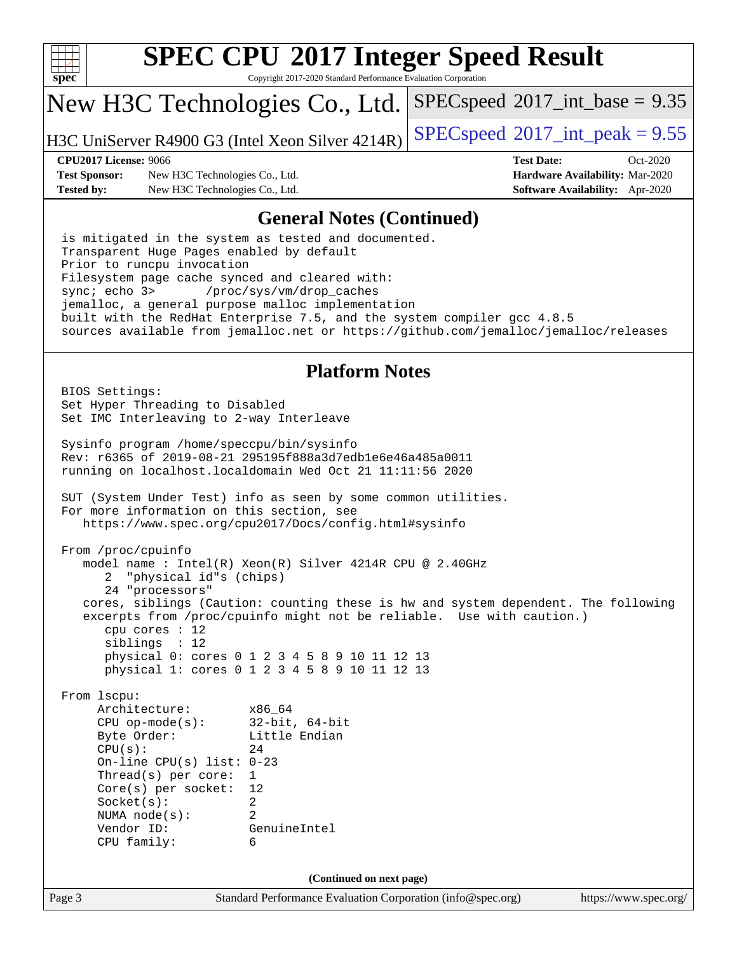

Copyright 2017-2020 Standard Performance Evaluation Corporation

## New H3C Technologies Co., Ltd.

H3C UniServer R4900 G3 (Intel Xeon Silver  $4214R$ ) [SPECspeed](http://www.spec.org/auto/cpu2017/Docs/result-fields.html#SPECspeed2017intpeak)®[2017\\_int\\_peak = 9](http://www.spec.org/auto/cpu2017/Docs/result-fields.html#SPECspeed2017intpeak).55

 $SPECspeed^{\circ}2017\_int\_base = 9.35$  $SPECspeed^{\circ}2017\_int\_base = 9.35$ 

**[Test Sponsor:](http://www.spec.org/auto/cpu2017/Docs/result-fields.html#TestSponsor)** New H3C Technologies Co., Ltd. **[Hardware Availability:](http://www.spec.org/auto/cpu2017/Docs/result-fields.html#HardwareAvailability)** Mar-2020 **[Tested by:](http://www.spec.org/auto/cpu2017/Docs/result-fields.html#Testedby)** New H3C Technologies Co., Ltd. **[Software Availability:](http://www.spec.org/auto/cpu2017/Docs/result-fields.html#SoftwareAvailability)** Apr-2020

**[CPU2017 License:](http://www.spec.org/auto/cpu2017/Docs/result-fields.html#CPU2017License)** 9066 **[Test Date:](http://www.spec.org/auto/cpu2017/Docs/result-fields.html#TestDate)** Oct-2020

#### **[General Notes \(Continued\)](http://www.spec.org/auto/cpu2017/Docs/result-fields.html#GeneralNotes)**

 is mitigated in the system as tested and documented. Transparent Huge Pages enabled by default Prior to runcpu invocation Filesystem page cache synced and cleared with: sync; echo 3> /proc/sys/vm/drop\_caches jemalloc, a general purpose malloc implementation built with the RedHat Enterprise 7.5, and the system compiler gcc 4.8.5 sources available from jemalloc.net or <https://github.com/jemalloc/jemalloc/releases>

#### **[Platform Notes](http://www.spec.org/auto/cpu2017/Docs/result-fields.html#PlatformNotes)**

Page 3 Standard Performance Evaluation Corporation [\(info@spec.org\)](mailto:info@spec.org) <https://www.spec.org/> BIOS Settings: Set Hyper Threading to Disabled Set IMC Interleaving to 2-way Interleave Sysinfo program /home/speccpu/bin/sysinfo Rev: r6365 of 2019-08-21 295195f888a3d7edb1e6e46a485a0011 running on localhost.localdomain Wed Oct 21 11:11:56 2020 SUT (System Under Test) info as seen by some common utilities. For more information on this section, see <https://www.spec.org/cpu2017/Docs/config.html#sysinfo> From /proc/cpuinfo model name : Intel(R) Xeon(R) Silver 4214R CPU @ 2.40GHz 2 "physical id"s (chips) 24 "processors" cores, siblings (Caution: counting these is hw and system dependent. The following excerpts from /proc/cpuinfo might not be reliable. Use with caution.) cpu cores : 12 siblings : 12 physical 0: cores 0 1 2 3 4 5 8 9 10 11 12 13 physical 1: cores 0 1 2 3 4 5 8 9 10 11 12 13 From lscpu: Architecture: x86\_64 CPU op-mode(s): 32-bit, 64-bit Byte Order: Little Endian  $CPU(s):$  24 On-line CPU(s) list: 0-23 Thread(s) per core: 1 Core(s) per socket: 12 Socket(s): 2 NUMA node(s): 2 Vendor ID: GenuineIntel CPU family: 6 **(Continued on next page)**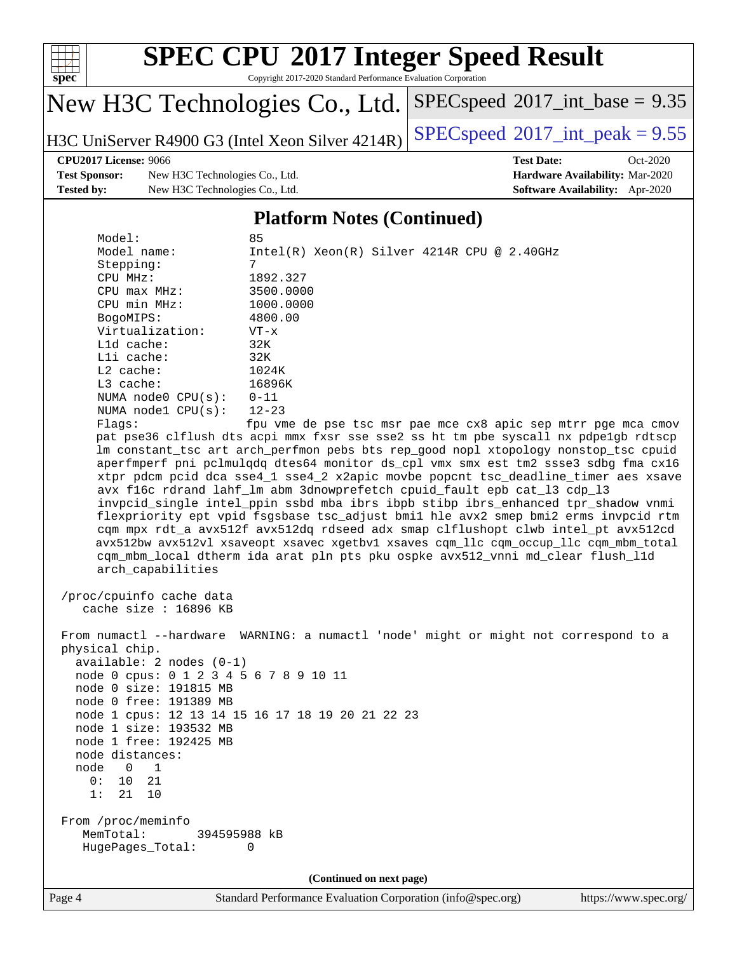

Copyright 2017-2020 Standard Performance Evaluation Corporation

## New H3C Technologies Co., Ltd.

H3C UniServer R4900 G3 (Intel Xeon Silver  $4214R$ ) [SPECspeed](http://www.spec.org/auto/cpu2017/Docs/result-fields.html#SPECspeed2017intpeak)<sup>®</sup>[2017\\_int\\_peak = 9](http://www.spec.org/auto/cpu2017/Docs/result-fields.html#SPECspeed2017intpeak).55

 $SPECspeed*2017\_int\_base = 9.35$  $SPECspeed*2017\_int\_base = 9.35$ 

**[Test Sponsor:](http://www.spec.org/auto/cpu2017/Docs/result-fields.html#TestSponsor)** New H3C Technologies Co., Ltd. **[Hardware Availability:](http://www.spec.org/auto/cpu2017/Docs/result-fields.html#HardwareAvailability)** Mar-2020 **[Tested by:](http://www.spec.org/auto/cpu2017/Docs/result-fields.html#Testedby)** New H3C Technologies Co., Ltd. **[Software Availability:](http://www.spec.org/auto/cpu2017/Docs/result-fields.html#SoftwareAvailability)** Apr-2020

**[CPU2017 License:](http://www.spec.org/auto/cpu2017/Docs/result-fields.html#CPU2017License)** 9066 **[Test Date:](http://www.spec.org/auto/cpu2017/Docs/result-fields.html#TestDate)** Oct-2020

#### **[Platform Notes \(Continued\)](http://www.spec.org/auto/cpu2017/Docs/result-fields.html#PlatformNotes)**

| Model:                                 | 85                                                                                   |
|----------------------------------------|--------------------------------------------------------------------------------------|
| Model name:                            | $Intel(R) Xeon(R) Silver 4214R CPU @ 2.40GHz$                                        |
| Stepping:                              | 7                                                                                    |
| CPU MHz:                               | 1892.327                                                                             |
| $CPU$ $max$ $MHz$ :                    | 3500.0000                                                                            |
| CPU min MHz:                           | 1000.0000                                                                            |
| BogoMIPS:                              | 4800.00                                                                              |
| Virtualization:                        | $VT - x$                                                                             |
| $L1d$ cache:                           | 32K                                                                                  |
| Lli cache:                             | 32K                                                                                  |
| $L2$ cache:                            | 1024K                                                                                |
| L3 cache:                              | 16896K                                                                               |
| NUMA node0 $CPU(s): 0-11$              |                                                                                      |
| NUMA $node1$ $CPU(s):$                 | $12 - 23$                                                                            |
| Flagg:                                 | fpu vme de pse tsc msr pae mce cx8 apic sep mtrr pge mca cmov                        |
|                                        | pat pse36 clflush dts acpi mmx fxsr sse sse2 ss ht tm pbe syscall nx pdpelgb rdtscp  |
|                                        | lm constant_tsc art arch_perfmon pebs bts rep_good nopl xtopology nonstop_tsc cpuid  |
|                                        | aperfmperf pni pclmulqdq dtes64 monitor ds_cpl vmx smx est tm2 ssse3 sdbg fma cx16   |
|                                        | xtpr pdcm pcid dca sse4_1 sse4_2 x2apic movbe popcnt tsc_deadline_timer aes xsave    |
|                                        | avx f16c rdrand lahf_lm abm 3dnowprefetch cpuid_fault epb cat_13 cdp_13              |
|                                        | invpcid_single intel_ppin ssbd mba ibrs ibpb stibp ibrs_enhanced tpr_shadow vnmi     |
|                                        | flexpriority ept vpid fsgsbase tsc_adjust bmil hle avx2 smep bmi2 erms invpcid rtm   |
|                                        | cqm mpx rdt_a avx512f avx512dq rdseed adx smap clflushopt clwb intel_pt avx512cd     |
|                                        | avx512bw avx512vl xsaveopt xsavec xgetbvl xsaves cqm_llc cqm_occup_llc cqm_mbm_total |
|                                        | cqm_mbm_local dtherm ida arat pln pts pku ospke avx512_vnni md_clear flush_l1d       |
| arch_capabilities                      |                                                                                      |
|                                        |                                                                                      |
| /proc/cpuinfo cache data               |                                                                                      |
| cache size : $16896$ KB                |                                                                                      |
|                                        |                                                                                      |
|                                        | From numactl --hardware WARNING: a numactl 'node' might or might not correspond to a |
| physical chip.                         |                                                                                      |
| $available: 2 nodes (0-1)$             |                                                                                      |
| node 0 cpus: 0 1 2 3 4 5 6 7 8 9 10 11 |                                                                                      |
| node 0 size: 191815 MB                 |                                                                                      |
| node 0 free: 191389 MB                 |                                                                                      |
|                                        | node 1 cpus: 12 13 14 15 16 17 18 19 20 21 22 23                                     |
| node 1 size: 193532 MB                 |                                                                                      |
| node 1 free: 192425 MB                 |                                                                                      |
| node distances:                        |                                                                                      |
| node 0 1                               |                                                                                      |
| 0:<br>10<br>21                         |                                                                                      |
| 1:<br>21<br>10                         |                                                                                      |
|                                        |                                                                                      |
| From /proc/meminfo                     |                                                                                      |
| MemTotal:<br>394595988 kB              |                                                                                      |
| HugePages_Total:                       | 0                                                                                    |
|                                        |                                                                                      |
|                                        | (Continued on next page)                                                             |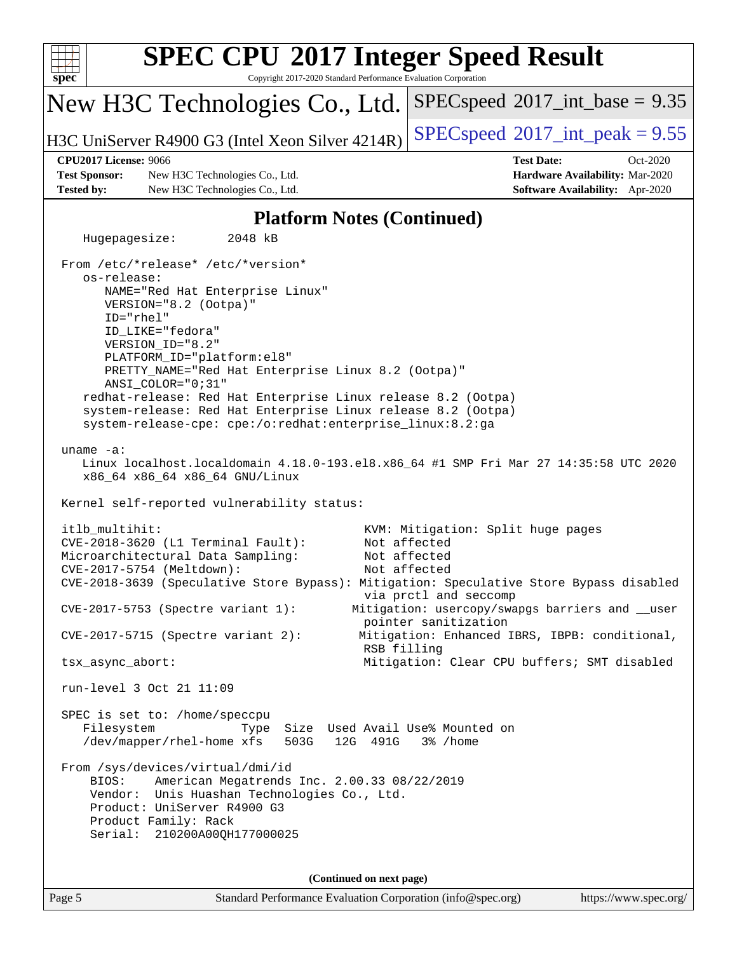| spec <sup>®</sup>                 | <b>SPEC CPU®2017 Integer Speed Result</b><br>Copyright 2017-2020 Standard Performance Evaluation Corporation                                                                                                                                                                                                                                                                                                                                                                             |                                                                                                                          |  |  |  |  |  |  |
|-----------------------------------|------------------------------------------------------------------------------------------------------------------------------------------------------------------------------------------------------------------------------------------------------------------------------------------------------------------------------------------------------------------------------------------------------------------------------------------------------------------------------------------|--------------------------------------------------------------------------------------------------------------------------|--|--|--|--|--|--|
|                                   | New H3C Technologies Co., Ltd.                                                                                                                                                                                                                                                                                                                                                                                                                                                           | $SPEC speed^{\circ}2017\_int\_base = 9.35$                                                                               |  |  |  |  |  |  |
|                                   | H3C UniServer R4900 G3 (Intel Xeon Silver 4214R)                                                                                                                                                                                                                                                                                                                                                                                                                                         | $SPEC speed^{\circ}2017\_int\_peak = 9.55$                                                                               |  |  |  |  |  |  |
|                                   | <b>CPU2017 License: 9066</b>                                                                                                                                                                                                                                                                                                                                                                                                                                                             | <b>Test Date:</b><br>Oct-2020                                                                                            |  |  |  |  |  |  |
| <b>Tested by:</b>                 | <b>Test Sponsor:</b><br>New H3C Technologies Co., Ltd.<br>New H3C Technologies Co., Ltd.                                                                                                                                                                                                                                                                                                                                                                                                 | Hardware Availability: Mar-2020<br>Software Availability: Apr-2020                                                       |  |  |  |  |  |  |
|                                   |                                                                                                                                                                                                                                                                                                                                                                                                                                                                                          |                                                                                                                          |  |  |  |  |  |  |
| <b>Platform Notes (Continued)</b> |                                                                                                                                                                                                                                                                                                                                                                                                                                                                                          |                                                                                                                          |  |  |  |  |  |  |
|                                   | Hugepagesize:<br>2048 kB                                                                                                                                                                                                                                                                                                                                                                                                                                                                 |                                                                                                                          |  |  |  |  |  |  |
|                                   | From /etc/*release* /etc/*version*<br>os-release:<br>NAME="Red Hat Enterprise Linux"<br>VERSION="8.2 (Ootpa)"<br>ID="rhel"<br>ID_LIKE="fedora"<br>VERSION_ID="8.2"<br>PLATFORM_ID="platform:el8"<br>PRETTY_NAME="Red Hat Enterprise Linux 8.2 (Ootpa)"<br>ANSI COLOR="0;31"<br>redhat-release: Red Hat Enterprise Linux release 8.2 (Ootpa)<br>system-release: Red Hat Enterprise Linux release 8.2 (Ootpa)<br>system-release-cpe: cpe:/o:redhat:enterprise_linux:8.2:ga<br>uname $-a$ : |                                                                                                                          |  |  |  |  |  |  |
|                                   | Linux localhost.localdomain 4.18.0-193.el8.x86_64 #1 SMP Fri Mar 27 14:35:58 UTC 2020<br>x86_64 x86_64 x86_64 GNU/Linux<br>Kernel self-reported vulnerability status:                                                                                                                                                                                                                                                                                                                    |                                                                                                                          |  |  |  |  |  |  |
|                                   | itlb_multihit:<br>CVE-2018-3620 (L1 Terminal Fault):<br>Microarchitectural Data Sampling:<br>CVE-2017-5754 (Meltdown):<br>CVE-2018-3639 (Speculative Store Bypass): Mitigation: Speculative Store Bypass disabled                                                                                                                                                                                                                                                                        | KVM: Mitigation: Split huge pages<br>Not affected<br>Not affected<br>Not affected<br>via prctl and seccomp               |  |  |  |  |  |  |
|                                   | $CVE-2017-5753$ (Spectre variant 1):<br>$CVE-2017-5715$ (Spectre variant 2):                                                                                                                                                                                                                                                                                                                                                                                                             | Mitigation: usercopy/swapgs barriers and __user<br>pointer sanitization<br>Mitigation: Enhanced IBRS, IBPB: conditional, |  |  |  |  |  |  |
|                                   | tsx_async_abort:                                                                                                                                                                                                                                                                                                                                                                                                                                                                         | RSB filling<br>Mitigation: Clear CPU buffers; SMT disabled                                                               |  |  |  |  |  |  |
|                                   | run-level 3 Oct 21 11:09                                                                                                                                                                                                                                                                                                                                                                                                                                                                 |                                                                                                                          |  |  |  |  |  |  |
|                                   | SPEC is set to: /home/speccpu<br>Filesystem<br>Size Used Avail Use% Mounted on<br>Type<br>/dev/mapper/rhel-home xfs<br>503G<br>12G 491G<br>From /sys/devices/virtual/dmi/id<br>American Megatrends Inc. 2.00.33 08/22/2019<br>BIOS:                                                                                                                                                                                                                                                      | 3% /home                                                                                                                 |  |  |  |  |  |  |
|                                   | Vendor: Unis Huashan Technologies Co., Ltd.<br>Product: UniServer R4900 G3<br>Product Family: Rack<br>Serial: 210200A00QH177000025                                                                                                                                                                                                                                                                                                                                                       |                                                                                                                          |  |  |  |  |  |  |
|                                   | (Continued on next page)                                                                                                                                                                                                                                                                                                                                                                                                                                                                 |                                                                                                                          |  |  |  |  |  |  |
| Page 5                            | Standard Performance Evaluation Corporation (info@spec.org)                                                                                                                                                                                                                                                                                                                                                                                                                              | https://www.spec.org/                                                                                                    |  |  |  |  |  |  |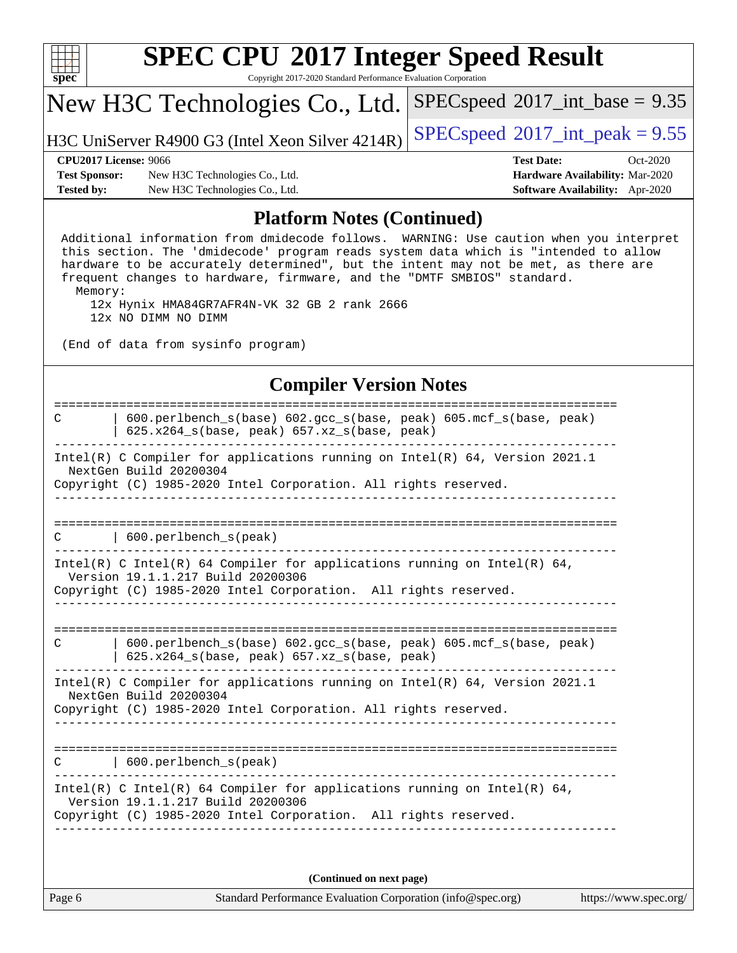| s<br>e<br>U<br>c |  |  |  |  |  |  |  |
|------------------|--|--|--|--|--|--|--|

Copyright 2017-2020 Standard Performance Evaluation Corporation

## New H3C Technologies Co., Ltd.

H3C UniServer R4900 G3 (Intel Xeon Silver  $4214R$ ) [SPECspeed](http://www.spec.org/auto/cpu2017/Docs/result-fields.html#SPECspeed2017intpeak)<sup>®</sup>[2017\\_int\\_peak = 9](http://www.spec.org/auto/cpu2017/Docs/result-fields.html#SPECspeed2017intpeak).55

 $SPECspeed^{\circledcirc}2017\_int\_base = 9.35$  $SPECspeed^{\circledcirc}2017\_int\_base = 9.35$ 

**[Test Sponsor:](http://www.spec.org/auto/cpu2017/Docs/result-fields.html#TestSponsor)** New H3C Technologies Co., Ltd. **[Hardware Availability:](http://www.spec.org/auto/cpu2017/Docs/result-fields.html#HardwareAvailability)** Mar-2020 **[Tested by:](http://www.spec.org/auto/cpu2017/Docs/result-fields.html#Testedby)** New H3C Technologies Co., Ltd. **[Software Availability:](http://www.spec.org/auto/cpu2017/Docs/result-fields.html#SoftwareAvailability)** Apr-2020

# **[CPU2017 License:](http://www.spec.org/auto/cpu2017/Docs/result-fields.html#CPU2017License)** 9066 **[Test Date:](http://www.spec.org/auto/cpu2017/Docs/result-fields.html#TestDate)** Oct-2020

#### **[Platform Notes \(Continued\)](http://www.spec.org/auto/cpu2017/Docs/result-fields.html#PlatformNotes)**

 Additional information from dmidecode follows. WARNING: Use caution when you interpret this section. The 'dmidecode' program reads system data which is "intended to allow hardware to be accurately determined", but the intent may not be met, as there are frequent changes to hardware, firmware, and the "DMTF SMBIOS" standard. Memory:

 12x Hynix HMA84GR7AFR4N-VK 32 GB 2 rank 2666 12x NO DIMM NO DIMM

(End of data from sysinfo program)

#### **[Compiler Version Notes](http://www.spec.org/auto/cpu2017/Docs/result-fields.html#CompilerVersionNotes)**

| 600.perlbench_s(base) 602.gcc_s(base, peak) 605.mcf_s(base, peak)<br>C<br>625.x264_s(base, peak) 657.xz_s(base, peak)                                                            |
|----------------------------------------------------------------------------------------------------------------------------------------------------------------------------------|
| Intel(R) C Compiler for applications running on Intel(R) $64$ , Version 2021.1<br>NextGen Build 20200304                                                                         |
| Copyright (C) 1985-2020 Intel Corporation. All rights reserved.                                                                                                                  |
| $600. perlbench_s(peak)$<br>С                                                                                                                                                    |
| Intel(R) C Intel(R) 64 Compiler for applications running on Intel(R) 64,<br>Version 19.1.1.217 Build 20200306<br>Copyright (C) 1985-2020 Intel Corporation. All rights reserved. |
| $600.$ perlbench $s(base) 602.$ qcc $s(base, peak) 605.$ mcf $s(base, peak)$<br>C<br>625.x264_s(base, peak) 657.xz_s(base, peak)                                                 |
| Intel(R) C Compiler for applications running on Intel(R) 64, Version 2021.1<br>NextGen Build 20200304<br>Copyright (C) 1985-2020 Intel Corporation. All rights reserved.         |
| 600.perlbench_s(peak)<br>C                                                                                                                                                       |
| Intel(R) C Intel(R) 64 Compiler for applications running on Intel(R) 64,<br>Version 19.1.1.217 Build 20200306<br>Copyright (C) 1985-2020 Intel Corporation. All rights reserved. |
|                                                                                                                                                                                  |

**(Continued on next page)**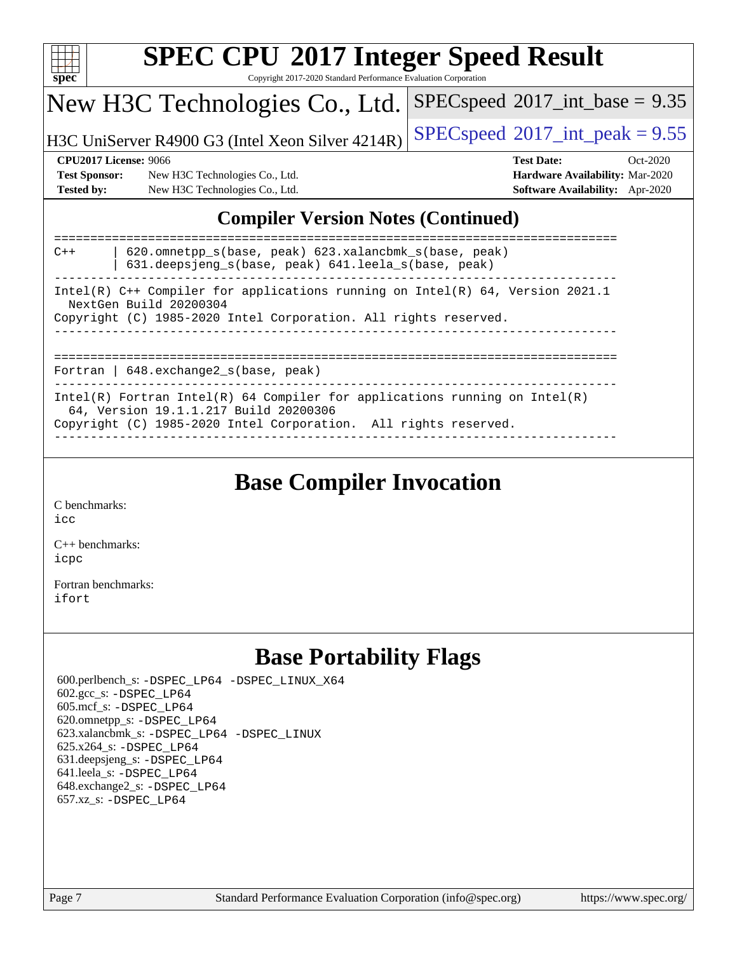| S)<br>E<br>U |  |  |  |  |  |  |  |
|--------------|--|--|--|--|--|--|--|

Copyright 2017-2020 Standard Performance Evaluation Corporation

## New H3C Technologies Co., Ltd.

H3C UniServer R4900 G3 (Intel Xeon Silver 4214R)  $\left|$  [SPECspeed](http://www.spec.org/auto/cpu2017/Docs/result-fields.html#SPECspeed2017intpeak)®[2017\\_int\\_peak = 9](http://www.spec.org/auto/cpu2017/Docs/result-fields.html#SPECspeed2017intpeak).55

 $SPECspeed^{\circ}2017\_int\_base = 9.35$  $SPECspeed^{\circ}2017\_int\_base = 9.35$ 

**[Test Sponsor:](http://www.spec.org/auto/cpu2017/Docs/result-fields.html#TestSponsor)** New H3C Technologies Co., Ltd. **[Hardware Availability:](http://www.spec.org/auto/cpu2017/Docs/result-fields.html#HardwareAvailability)** Mar-2020 **[Tested by:](http://www.spec.org/auto/cpu2017/Docs/result-fields.html#Testedby)** New H3C Technologies Co., Ltd. **[Software Availability:](http://www.spec.org/auto/cpu2017/Docs/result-fields.html#SoftwareAvailability)** Apr-2020

**[CPU2017 License:](http://www.spec.org/auto/cpu2017/Docs/result-fields.html#CPU2017License)** 9066 **[Test Date:](http://www.spec.org/auto/cpu2017/Docs/result-fields.html#TestDate)** Oct-2020

### **[Compiler Version Notes \(Continued\)](http://www.spec.org/auto/cpu2017/Docs/result-fields.html#CompilerVersionNotes)**

| 620.omnetpp s(base, peak) 623.xalancbmk s(base, peak)<br>$C++$<br>631.deepsjeng s(base, peak) 641.leela s(base, peak) |
|-----------------------------------------------------------------------------------------------------------------------|
| Intel(R) $C++$ Compiler for applications running on Intel(R) 64, Version 2021.1<br>NextGen Build 20200304             |
| Copyright (C) 1985-2020 Intel Corporation. All rights reserved.                                                       |
|                                                                                                                       |
| Fortran   $648$ . exchange2 $s$ (base, peak)                                                                          |
| Intel(R) Fortran Intel(R) 64 Compiler for applications running on Intel(R)<br>64, Version 19.1.1.217 Build 20200306   |
| Copyright (C) 1985-2020 Intel Corporation. All rights reserved.                                                       |

## **[Base Compiler Invocation](http://www.spec.org/auto/cpu2017/Docs/result-fields.html#BaseCompilerInvocation)**

[C benchmarks](http://www.spec.org/auto/cpu2017/Docs/result-fields.html#Cbenchmarks):

[icc](http://www.spec.org/cpu2017/results/res2020q4/cpu2017-20201027-24322.flags.html#user_CCbase_intel_icc_66fc1ee009f7361af1fbd72ca7dcefbb700085f36577c54f309893dd4ec40d12360134090235512931783d35fd58c0460139e722d5067c5574d8eaf2b3e37e92)

[C++ benchmarks:](http://www.spec.org/auto/cpu2017/Docs/result-fields.html#CXXbenchmarks) [icpc](http://www.spec.org/cpu2017/results/res2020q4/cpu2017-20201027-24322.flags.html#user_CXXbase_intel_icpc_c510b6838c7f56d33e37e94d029a35b4a7bccf4766a728ee175e80a419847e808290a9b78be685c44ab727ea267ec2f070ec5dc83b407c0218cded6866a35d07)

[Fortran benchmarks](http://www.spec.org/auto/cpu2017/Docs/result-fields.html#Fortranbenchmarks): [ifort](http://www.spec.org/cpu2017/results/res2020q4/cpu2017-20201027-24322.flags.html#user_FCbase_intel_ifort_8111460550e3ca792625aed983ce982f94888b8b503583aa7ba2b8303487b4d8a21a13e7191a45c5fd58ff318f48f9492884d4413fa793fd88dd292cad7027ca)

## **[Base Portability Flags](http://www.spec.org/auto/cpu2017/Docs/result-fields.html#BasePortabilityFlags)**

 600.perlbench\_s: [-DSPEC\\_LP64](http://www.spec.org/cpu2017/results/res2020q4/cpu2017-20201027-24322.flags.html#b600.perlbench_s_basePORTABILITY_DSPEC_LP64) [-DSPEC\\_LINUX\\_X64](http://www.spec.org/cpu2017/results/res2020q4/cpu2017-20201027-24322.flags.html#b600.perlbench_s_baseCPORTABILITY_DSPEC_LINUX_X64) 602.gcc\_s: [-DSPEC\\_LP64](http://www.spec.org/cpu2017/results/res2020q4/cpu2017-20201027-24322.flags.html#suite_basePORTABILITY602_gcc_s_DSPEC_LP64) 605.mcf\_s: [-DSPEC\\_LP64](http://www.spec.org/cpu2017/results/res2020q4/cpu2017-20201027-24322.flags.html#suite_basePORTABILITY605_mcf_s_DSPEC_LP64) 620.omnetpp\_s: [-DSPEC\\_LP64](http://www.spec.org/cpu2017/results/res2020q4/cpu2017-20201027-24322.flags.html#suite_basePORTABILITY620_omnetpp_s_DSPEC_LP64) 623.xalancbmk\_s: [-DSPEC\\_LP64](http://www.spec.org/cpu2017/results/res2020q4/cpu2017-20201027-24322.flags.html#suite_basePORTABILITY623_xalancbmk_s_DSPEC_LP64) [-DSPEC\\_LINUX](http://www.spec.org/cpu2017/results/res2020q4/cpu2017-20201027-24322.flags.html#b623.xalancbmk_s_baseCXXPORTABILITY_DSPEC_LINUX) 625.x264\_s: [-DSPEC\\_LP64](http://www.spec.org/cpu2017/results/res2020q4/cpu2017-20201027-24322.flags.html#suite_basePORTABILITY625_x264_s_DSPEC_LP64) 631.deepsjeng\_s: [-DSPEC\\_LP64](http://www.spec.org/cpu2017/results/res2020q4/cpu2017-20201027-24322.flags.html#suite_basePORTABILITY631_deepsjeng_s_DSPEC_LP64) 641.leela\_s: [-DSPEC\\_LP64](http://www.spec.org/cpu2017/results/res2020q4/cpu2017-20201027-24322.flags.html#suite_basePORTABILITY641_leela_s_DSPEC_LP64) 648.exchange2\_s: [-DSPEC\\_LP64](http://www.spec.org/cpu2017/results/res2020q4/cpu2017-20201027-24322.flags.html#suite_basePORTABILITY648_exchange2_s_DSPEC_LP64) 657.xz\_s: [-DSPEC\\_LP64](http://www.spec.org/cpu2017/results/res2020q4/cpu2017-20201027-24322.flags.html#suite_basePORTABILITY657_xz_s_DSPEC_LP64)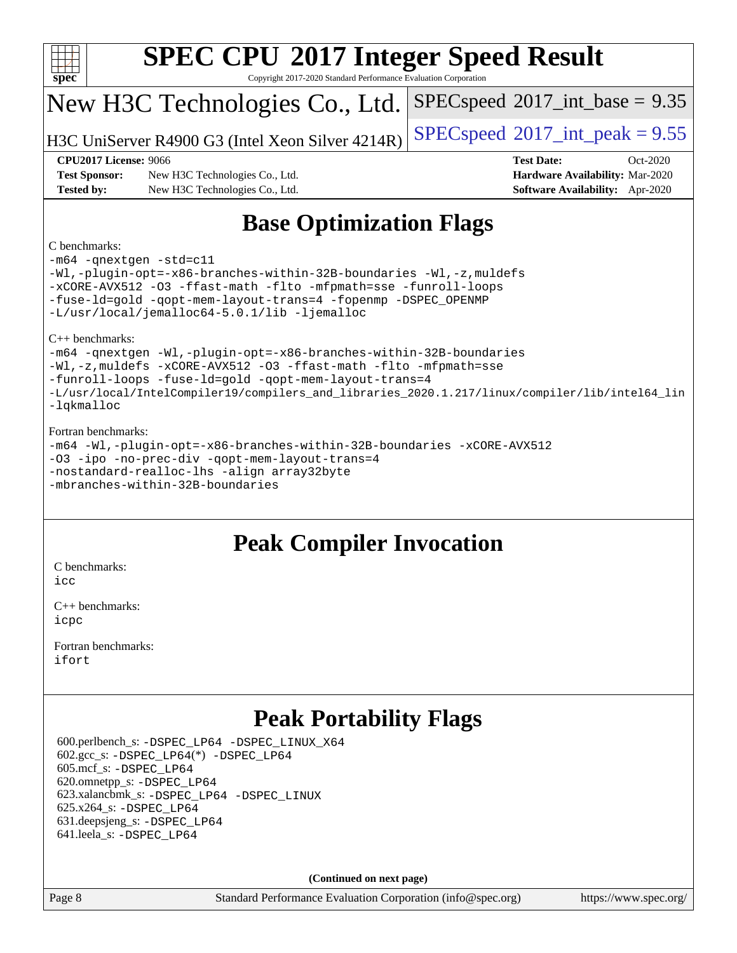| <b>SPEC CPU®2017 Integer Speed Result</b><br>$spec^*$<br>Copyright 2017-2020 Standard Performance Evaluation Corporation |                                                  |                                |                                            |                                        |            |  |  |  |
|--------------------------------------------------------------------------------------------------------------------------|--------------------------------------------------|--------------------------------|--------------------------------------------|----------------------------------------|------------|--|--|--|
|                                                                                                                          | New H3C Technologies Co., Ltd.                   |                                | $SPEC speed^{\circ}2017\_int\_base = 9.35$ |                                        |            |  |  |  |
|                                                                                                                          | H3C UniServer R4900 G3 (Intel Xeon Silver 4214R) |                                | $SPEC speed^{\circ}2017\_int\_peak = 9.55$ |                                        |            |  |  |  |
| <b>CPU2017 License: 9066</b>                                                                                             |                                                  |                                |                                            | <b>Test Date:</b>                      | $Oct-2020$ |  |  |  |
| <b>Test Sponsor:</b>                                                                                                     | New H3C Technologies Co., Ltd.                   |                                |                                            | Hardware Availability: Mar-2020        |            |  |  |  |
| <b>Tested by:</b>                                                                                                        | New H3C Technologies Co., Ltd.                   |                                |                                            | <b>Software Availability:</b> Apr-2020 |            |  |  |  |
| C benchmarks:<br>$-m64$ $-maytan$ $-ctd-cl1$                                                                             |                                                  | <b>Base Optimization Flags</b> |                                            |                                        |            |  |  |  |

[-m64](http://www.spec.org/cpu2017/results/res2020q4/cpu2017-20201027-24322.flags.html#user_CCbase_m64-icc) [-qnextgen](http://www.spec.org/cpu2017/results/res2020q4/cpu2017-20201027-24322.flags.html#user_CCbase_f-qnextgen) [-std=c11](http://www.spec.org/cpu2017/results/res2020q4/cpu2017-20201027-24322.flags.html#user_CCbase_std-icc-std_0e1c27790398a4642dfca32ffe6c27b5796f9c2d2676156f2e42c9c44eaad0c049b1cdb667a270c34d979996257aeb8fc440bfb01818dbc9357bd9d174cb8524) [-Wl,-plugin-opt=-x86-branches-within-32B-boundaries](http://www.spec.org/cpu2017/results/res2020q4/cpu2017-20201027-24322.flags.html#user_CCbase_f-x86-branches-within-32B-boundaries_0098b4e4317ae60947b7b728078a624952a08ac37a3c797dfb4ffeb399e0c61a9dd0f2f44ce917e9361fb9076ccb15e7824594512dd315205382d84209e912f3) [-Wl,-z,muldefs](http://www.spec.org/cpu2017/results/res2020q4/cpu2017-20201027-24322.flags.html#user_CCbase_link_force_multiple1_b4cbdb97b34bdee9ceefcfe54f4c8ea74255f0b02a4b23e853cdb0e18eb4525ac79b5a88067c842dd0ee6996c24547a27a4b99331201badda8798ef8a743f577) [-xCORE-AVX512](http://www.spec.org/cpu2017/results/res2020q4/cpu2017-20201027-24322.flags.html#user_CCbase_f-xCORE-AVX512) [-O3](http://www.spec.org/cpu2017/results/res2020q4/cpu2017-20201027-24322.flags.html#user_CCbase_f-O3) [-ffast-math](http://www.spec.org/cpu2017/results/res2020q4/cpu2017-20201027-24322.flags.html#user_CCbase_f-ffast-math) [-flto](http://www.spec.org/cpu2017/results/res2020q4/cpu2017-20201027-24322.flags.html#user_CCbase_f-flto) [-mfpmath=sse](http://www.spec.org/cpu2017/results/res2020q4/cpu2017-20201027-24322.flags.html#user_CCbase_f-mfpmath_70eb8fac26bde974f8ab713bc9086c5621c0b8d2f6c86f38af0bd7062540daf19db5f3a066d8c6684be05d84c9b6322eb3b5be6619d967835195b93d6c02afa1) [-funroll-loops](http://www.spec.org/cpu2017/results/res2020q4/cpu2017-20201027-24322.flags.html#user_CCbase_f-funroll-loops) [-fuse-ld=gold](http://www.spec.org/cpu2017/results/res2020q4/cpu2017-20201027-24322.flags.html#user_CCbase_f-fuse-ld_920b3586e2b8c6e0748b9c84fa9b744736ba725a32cab14ad8f3d4ad28eecb2f59d1144823d2e17006539a88734fe1fc08fc3035f7676166309105a78aaabc32) [-qopt-mem-layout-trans=4](http://www.spec.org/cpu2017/results/res2020q4/cpu2017-20201027-24322.flags.html#user_CCbase_f-qopt-mem-layout-trans_fa39e755916c150a61361b7846f310bcdf6f04e385ef281cadf3647acec3f0ae266d1a1d22d972a7087a248fd4e6ca390a3634700869573d231a252c784941a8) [-fopenmp](http://www.spec.org/cpu2017/results/res2020q4/cpu2017-20201027-24322.flags.html#user_CCbase_fopenmp_5aa2e47ce4f2ef030ba5d12d5a7a9c4e57167333d78243fcadb80b48d5abb78ff19333f8478e0b2a41e63049eb285965c145ccab7b93db7d0c4d59e4dc6f5591) [-DSPEC\\_OPENMP](http://www.spec.org/cpu2017/results/res2020q4/cpu2017-20201027-24322.flags.html#suite_CCbase_DSPEC_OPENMP) [-L/usr/local/jemalloc64-5.0.1/lib](http://www.spec.org/cpu2017/results/res2020q4/cpu2017-20201027-24322.flags.html#user_CCbase_jemalloc_link_path64_1_cc289568b1a6c0fd3b62c91b824c27fcb5af5e8098e6ad028160d21144ef1b8aef3170d2acf0bee98a8da324cfe4f67d0a3d0c4cc4673d993d694dc2a0df248b) [-ljemalloc](http://www.spec.org/cpu2017/results/res2020q4/cpu2017-20201027-24322.flags.html#user_CCbase_jemalloc_link_lib_d1249b907c500fa1c0672f44f562e3d0f79738ae9e3c4a9c376d49f265a04b9c99b167ecedbf6711b3085be911c67ff61f150a17b3472be731631ba4d0471706)

[C++ benchmarks](http://www.spec.org/auto/cpu2017/Docs/result-fields.html#CXXbenchmarks):

[-m64](http://www.spec.org/cpu2017/results/res2020q4/cpu2017-20201027-24322.flags.html#user_CXXbase_m64-icc) [-qnextgen](http://www.spec.org/cpu2017/results/res2020q4/cpu2017-20201027-24322.flags.html#user_CXXbase_f-qnextgen) [-Wl,-plugin-opt=-x86-branches-within-32B-boundaries](http://www.spec.org/cpu2017/results/res2020q4/cpu2017-20201027-24322.flags.html#user_CXXbase_f-x86-branches-within-32B-boundaries_0098b4e4317ae60947b7b728078a624952a08ac37a3c797dfb4ffeb399e0c61a9dd0f2f44ce917e9361fb9076ccb15e7824594512dd315205382d84209e912f3) [-Wl,-z,muldefs](http://www.spec.org/cpu2017/results/res2020q4/cpu2017-20201027-24322.flags.html#user_CXXbase_link_force_multiple1_b4cbdb97b34bdee9ceefcfe54f4c8ea74255f0b02a4b23e853cdb0e18eb4525ac79b5a88067c842dd0ee6996c24547a27a4b99331201badda8798ef8a743f577) [-xCORE-AVX512](http://www.spec.org/cpu2017/results/res2020q4/cpu2017-20201027-24322.flags.html#user_CXXbase_f-xCORE-AVX512) [-O3](http://www.spec.org/cpu2017/results/res2020q4/cpu2017-20201027-24322.flags.html#user_CXXbase_f-O3) [-ffast-math](http://www.spec.org/cpu2017/results/res2020q4/cpu2017-20201027-24322.flags.html#user_CXXbase_f-ffast-math) [-flto](http://www.spec.org/cpu2017/results/res2020q4/cpu2017-20201027-24322.flags.html#user_CXXbase_f-flto) [-mfpmath=sse](http://www.spec.org/cpu2017/results/res2020q4/cpu2017-20201027-24322.flags.html#user_CXXbase_f-mfpmath_70eb8fac26bde974f8ab713bc9086c5621c0b8d2f6c86f38af0bd7062540daf19db5f3a066d8c6684be05d84c9b6322eb3b5be6619d967835195b93d6c02afa1) [-funroll-loops](http://www.spec.org/cpu2017/results/res2020q4/cpu2017-20201027-24322.flags.html#user_CXXbase_f-funroll-loops) [-fuse-ld=gold](http://www.spec.org/cpu2017/results/res2020q4/cpu2017-20201027-24322.flags.html#user_CXXbase_f-fuse-ld_920b3586e2b8c6e0748b9c84fa9b744736ba725a32cab14ad8f3d4ad28eecb2f59d1144823d2e17006539a88734fe1fc08fc3035f7676166309105a78aaabc32) [-qopt-mem-layout-trans=4](http://www.spec.org/cpu2017/results/res2020q4/cpu2017-20201027-24322.flags.html#user_CXXbase_f-qopt-mem-layout-trans_fa39e755916c150a61361b7846f310bcdf6f04e385ef281cadf3647acec3f0ae266d1a1d22d972a7087a248fd4e6ca390a3634700869573d231a252c784941a8) [-L/usr/local/IntelCompiler19/compilers\\_and\\_libraries\\_2020.1.217/linux/compiler/lib/intel64\\_lin](http://www.spec.org/cpu2017/results/res2020q4/cpu2017-20201027-24322.flags.html#user_CXXbase_linkpath_2cb6f503891ebf8baee7515f4e7d4ec1217444d1d05903cc0091ac4158de400651d2b2313a9fa414cb8a8f0e16ab029634f5c6db340f400369c190d4db8a54a0) [-lqkmalloc](http://www.spec.org/cpu2017/results/res2020q4/cpu2017-20201027-24322.flags.html#user_CXXbase_qkmalloc_link_lib_79a818439969f771c6bc311cfd333c00fc099dad35c030f5aab9dda831713d2015205805422f83de8875488a2991c0a156aaa600e1f9138f8fc37004abc96dc5)

#### [Fortran benchmarks](http://www.spec.org/auto/cpu2017/Docs/result-fields.html#Fortranbenchmarks):

[-m64](http://www.spec.org/cpu2017/results/res2020q4/cpu2017-20201027-24322.flags.html#user_FCbase_m64-icc) [-Wl,-plugin-opt=-x86-branches-within-32B-boundaries](http://www.spec.org/cpu2017/results/res2020q4/cpu2017-20201027-24322.flags.html#user_FCbase_f-x86-branches-within-32B-boundaries_0098b4e4317ae60947b7b728078a624952a08ac37a3c797dfb4ffeb399e0c61a9dd0f2f44ce917e9361fb9076ccb15e7824594512dd315205382d84209e912f3) [-xCORE-AVX512](http://www.spec.org/cpu2017/results/res2020q4/cpu2017-20201027-24322.flags.html#user_FCbase_f-xCORE-AVX512) [-O3](http://www.spec.org/cpu2017/results/res2020q4/cpu2017-20201027-24322.flags.html#user_FCbase_f-O3) [-ipo](http://www.spec.org/cpu2017/results/res2020q4/cpu2017-20201027-24322.flags.html#user_FCbase_f-ipo) [-no-prec-div](http://www.spec.org/cpu2017/results/res2020q4/cpu2017-20201027-24322.flags.html#user_FCbase_f-no-prec-div) [-qopt-mem-layout-trans=4](http://www.spec.org/cpu2017/results/res2020q4/cpu2017-20201027-24322.flags.html#user_FCbase_f-qopt-mem-layout-trans_fa39e755916c150a61361b7846f310bcdf6f04e385ef281cadf3647acec3f0ae266d1a1d22d972a7087a248fd4e6ca390a3634700869573d231a252c784941a8) [-nostandard-realloc-lhs](http://www.spec.org/cpu2017/results/res2020q4/cpu2017-20201027-24322.flags.html#user_FCbase_f_2003_std_realloc_82b4557e90729c0f113870c07e44d33d6f5a304b4f63d4c15d2d0f1fab99f5daaed73bdb9275d9ae411527f28b936061aa8b9c8f2d63842963b95c9dd6426b8a) [-align array32byte](http://www.spec.org/cpu2017/results/res2020q4/cpu2017-20201027-24322.flags.html#user_FCbase_align_array32byte_b982fe038af199962ba9a80c053b8342c548c85b40b8e86eb3cc33dee0d7986a4af373ac2d51c3f7cf710a18d62fdce2948f201cd044323541f22fc0fffc51b6) [-mbranches-within-32B-boundaries](http://www.spec.org/cpu2017/results/res2020q4/cpu2017-20201027-24322.flags.html#user_FCbase_f-mbranches-within-32B-boundaries)

## **[Peak Compiler Invocation](http://www.spec.org/auto/cpu2017/Docs/result-fields.html#PeakCompilerInvocation)**

[C benchmarks](http://www.spec.org/auto/cpu2017/Docs/result-fields.html#Cbenchmarks):

[icc](http://www.spec.org/cpu2017/results/res2020q4/cpu2017-20201027-24322.flags.html#user_CCpeak_intel_icc_66fc1ee009f7361af1fbd72ca7dcefbb700085f36577c54f309893dd4ec40d12360134090235512931783d35fd58c0460139e722d5067c5574d8eaf2b3e37e92)

[C++ benchmarks:](http://www.spec.org/auto/cpu2017/Docs/result-fields.html#CXXbenchmarks) [icpc](http://www.spec.org/cpu2017/results/res2020q4/cpu2017-20201027-24322.flags.html#user_CXXpeak_intel_icpc_c510b6838c7f56d33e37e94d029a35b4a7bccf4766a728ee175e80a419847e808290a9b78be685c44ab727ea267ec2f070ec5dc83b407c0218cded6866a35d07)

[Fortran benchmarks](http://www.spec.org/auto/cpu2017/Docs/result-fields.html#Fortranbenchmarks): [ifort](http://www.spec.org/cpu2017/results/res2020q4/cpu2017-20201027-24322.flags.html#user_FCpeak_intel_ifort_8111460550e3ca792625aed983ce982f94888b8b503583aa7ba2b8303487b4d8a21a13e7191a45c5fd58ff318f48f9492884d4413fa793fd88dd292cad7027ca)

## **[Peak Portability Flags](http://www.spec.org/auto/cpu2017/Docs/result-fields.html#PeakPortabilityFlags)**

 600.perlbench\_s: [-DSPEC\\_LP64](http://www.spec.org/cpu2017/results/res2020q4/cpu2017-20201027-24322.flags.html#b600.perlbench_s_peakPORTABILITY_DSPEC_LP64) [-DSPEC\\_LINUX\\_X64](http://www.spec.org/cpu2017/results/res2020q4/cpu2017-20201027-24322.flags.html#b600.perlbench_s_peakCPORTABILITY_DSPEC_LINUX_X64)  $602.\text{gcc}\$ :  $-DSPEC\_LP64(*) -DSPEC\_LP64$  605.mcf\_s: [-DSPEC\\_LP64](http://www.spec.org/cpu2017/results/res2020q4/cpu2017-20201027-24322.flags.html#suite_peakPORTABILITY605_mcf_s_DSPEC_LP64) 620.omnetpp\_s: [-DSPEC\\_LP64](http://www.spec.org/cpu2017/results/res2020q4/cpu2017-20201027-24322.flags.html#suite_peakPORTABILITY620_omnetpp_s_DSPEC_LP64) 623.xalancbmk\_s: [-DSPEC\\_LP64](http://www.spec.org/cpu2017/results/res2020q4/cpu2017-20201027-24322.flags.html#suite_peakPORTABILITY623_xalancbmk_s_DSPEC_LP64) [-DSPEC\\_LINUX](http://www.spec.org/cpu2017/results/res2020q4/cpu2017-20201027-24322.flags.html#b623.xalancbmk_s_peakCXXPORTABILITY_DSPEC_LINUX) 625.x264\_s: [-DSPEC\\_LP64](http://www.spec.org/cpu2017/results/res2020q4/cpu2017-20201027-24322.flags.html#suite_peakPORTABILITY625_x264_s_DSPEC_LP64) 631.deepsjeng\_s: [-DSPEC\\_LP64](http://www.spec.org/cpu2017/results/res2020q4/cpu2017-20201027-24322.flags.html#suite_peakPORTABILITY631_deepsjeng_s_DSPEC_LP64) 641.leela\_s: [-DSPEC\\_LP64](http://www.spec.org/cpu2017/results/res2020q4/cpu2017-20201027-24322.flags.html#suite_peakPORTABILITY641_leela_s_DSPEC_LP64)

**(Continued on next page)**

Page 8 Standard Performance Evaluation Corporation [\(info@spec.org\)](mailto:info@spec.org) <https://www.spec.org/>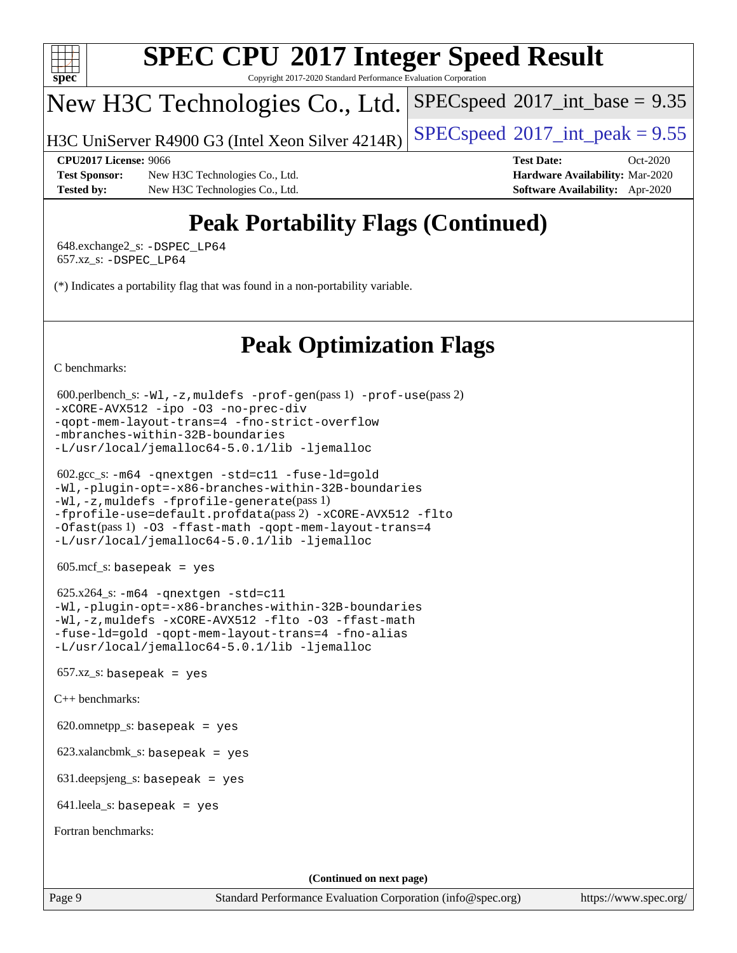

Copyright 2017-2020 Standard Performance Evaluation Corporation

## New H3C Technologies Co., Ltd.

H3C UniServer R4900 G3 (Intel Xeon Silver  $4214R$ ) [SPECspeed](http://www.spec.org/auto/cpu2017/Docs/result-fields.html#SPECspeed2017intpeak)®[2017\\_int\\_peak = 9](http://www.spec.org/auto/cpu2017/Docs/result-fields.html#SPECspeed2017intpeak).55

 $SPECspeed^{\circ}2017\_int\_base = 9.35$  $SPECspeed^{\circ}2017\_int\_base = 9.35$ 

**[Test Sponsor:](http://www.spec.org/auto/cpu2017/Docs/result-fields.html#TestSponsor)** New H3C Technologies Co., Ltd. **[Hardware Availability:](http://www.spec.org/auto/cpu2017/Docs/result-fields.html#HardwareAvailability)** Mar-2020 **[Tested by:](http://www.spec.org/auto/cpu2017/Docs/result-fields.html#Testedby)** New H3C Technologies Co., Ltd. **[Software Availability:](http://www.spec.org/auto/cpu2017/Docs/result-fields.html#SoftwareAvailability)** Apr-2020

**[CPU2017 License:](http://www.spec.org/auto/cpu2017/Docs/result-fields.html#CPU2017License)** 9066 **[Test Date:](http://www.spec.org/auto/cpu2017/Docs/result-fields.html#TestDate)** Oct-2020

## **[Peak Portability Flags \(Continued\)](http://www.spec.org/auto/cpu2017/Docs/result-fields.html#PeakPortabilityFlags)**

 648.exchange2\_s: [-DSPEC\\_LP64](http://www.spec.org/cpu2017/results/res2020q4/cpu2017-20201027-24322.flags.html#suite_peakPORTABILITY648_exchange2_s_DSPEC_LP64) 657.xz\_s: [-DSPEC\\_LP64](http://www.spec.org/cpu2017/results/res2020q4/cpu2017-20201027-24322.flags.html#suite_peakPORTABILITY657_xz_s_DSPEC_LP64)

(\*) Indicates a portability flag that was found in a non-portability variable.

## **[Peak Optimization Flags](http://www.spec.org/auto/cpu2017/Docs/result-fields.html#PeakOptimizationFlags)**

[C benchmarks](http://www.spec.org/auto/cpu2017/Docs/result-fields.html#Cbenchmarks):

```
 600.perlbench_s: -Wl,-z,muldefs -prof-gen(pass 1) -prof-use(pass 2)
-xCORE-AVX512 -ipo -O3 -no-prec-div
-qopt-mem-layout-trans=4 -fno-strict-overflow
-mbranches-within-32B-boundaries
-L/usr/local/jemalloc64-5.0.1/lib -ljemalloc
```

```
 602.gcc_s: -m64 -qnextgen -std=c11 -fuse-ld=gold
-Wl,-plugin-opt=-x86-branches-within-32B-boundaries
-Wl,-z,muldefs -fprofile-generate(pass 1)
-fprofile-use=default.profdata(pass 2) -xCORE-AVX512 -flto
-Ofast(pass 1) -O3 -ffast-math -qopt-mem-layout-trans=4
-L/usr/local/jemalloc64-5.0.1/lib -ljemalloc
```
605.mcf\_s: basepeak = yes

 625.x264\_s: [-m64](http://www.spec.org/cpu2017/results/res2020q4/cpu2017-20201027-24322.flags.html#user_peakCCLD625_x264_s_m64-icc) [-qnextgen](http://www.spec.org/cpu2017/results/res2020q4/cpu2017-20201027-24322.flags.html#user_peakCCLD625_x264_s_f-qnextgen) [-std=c11](http://www.spec.org/cpu2017/results/res2020q4/cpu2017-20201027-24322.flags.html#user_peakCCLD625_x264_s_std-icc-std_0e1c27790398a4642dfca32ffe6c27b5796f9c2d2676156f2e42c9c44eaad0c049b1cdb667a270c34d979996257aeb8fc440bfb01818dbc9357bd9d174cb8524) [-Wl,-plugin-opt=-x86-branches-within-32B-boundaries](http://www.spec.org/cpu2017/results/res2020q4/cpu2017-20201027-24322.flags.html#user_peakLDFLAGS625_x264_s_f-x86-branches-within-32B-boundaries_0098b4e4317ae60947b7b728078a624952a08ac37a3c797dfb4ffeb399e0c61a9dd0f2f44ce917e9361fb9076ccb15e7824594512dd315205382d84209e912f3) [-Wl,-z,muldefs](http://www.spec.org/cpu2017/results/res2020q4/cpu2017-20201027-24322.flags.html#user_peakEXTRA_LDFLAGS625_x264_s_link_force_multiple1_b4cbdb97b34bdee9ceefcfe54f4c8ea74255f0b02a4b23e853cdb0e18eb4525ac79b5a88067c842dd0ee6996c24547a27a4b99331201badda8798ef8a743f577) [-xCORE-AVX512](http://www.spec.org/cpu2017/results/res2020q4/cpu2017-20201027-24322.flags.html#user_peakCOPTIMIZE625_x264_s_f-xCORE-AVX512) [-flto](http://www.spec.org/cpu2017/results/res2020q4/cpu2017-20201027-24322.flags.html#user_peakCOPTIMIZE625_x264_s_f-flto) [-O3](http://www.spec.org/cpu2017/results/res2020q4/cpu2017-20201027-24322.flags.html#user_peakCOPTIMIZE625_x264_s_f-O3) [-ffast-math](http://www.spec.org/cpu2017/results/res2020q4/cpu2017-20201027-24322.flags.html#user_peakCOPTIMIZE625_x264_s_f-ffast-math) [-fuse-ld=gold](http://www.spec.org/cpu2017/results/res2020q4/cpu2017-20201027-24322.flags.html#user_peakCOPTIMIZE625_x264_s_f-fuse-ld_920b3586e2b8c6e0748b9c84fa9b744736ba725a32cab14ad8f3d4ad28eecb2f59d1144823d2e17006539a88734fe1fc08fc3035f7676166309105a78aaabc32) [-qopt-mem-layout-trans=4](http://www.spec.org/cpu2017/results/res2020q4/cpu2017-20201027-24322.flags.html#user_peakCOPTIMIZE625_x264_s_f-qopt-mem-layout-trans_fa39e755916c150a61361b7846f310bcdf6f04e385ef281cadf3647acec3f0ae266d1a1d22d972a7087a248fd4e6ca390a3634700869573d231a252c784941a8) [-fno-alias](http://www.spec.org/cpu2017/results/res2020q4/cpu2017-20201027-24322.flags.html#user_peakEXTRA_OPTIMIZE625_x264_s_f-no-alias_77dbac10d91cbfe898fbf4a29d1b29b694089caa623bdd1baccc9957d4edbe8d106c0b357e2748a65b44fc9e83d78098bb898077f3fe92f9faf24f7bd4a07ed7) [-L/usr/local/jemalloc64-5.0.1/lib](http://www.spec.org/cpu2017/results/res2020q4/cpu2017-20201027-24322.flags.html#user_peakEXTRA_LIBS625_x264_s_jemalloc_link_path64_1_cc289568b1a6c0fd3b62c91b824c27fcb5af5e8098e6ad028160d21144ef1b8aef3170d2acf0bee98a8da324cfe4f67d0a3d0c4cc4673d993d694dc2a0df248b) [-ljemalloc](http://www.spec.org/cpu2017/results/res2020q4/cpu2017-20201027-24322.flags.html#user_peakEXTRA_LIBS625_x264_s_jemalloc_link_lib_d1249b907c500fa1c0672f44f562e3d0f79738ae9e3c4a9c376d49f265a04b9c99b167ecedbf6711b3085be911c67ff61f150a17b3472be731631ba4d0471706)

 $657.xz$ \_s: basepeak = yes

[C++ benchmarks:](http://www.spec.org/auto/cpu2017/Docs/result-fields.html#CXXbenchmarks)

620.omnetpp\_s: basepeak = yes

623.xalancbmk\_s: basepeak = yes

631.deepsjeng\_s: basepeak = yes

641.leela\_s: basepeak = yes

[Fortran benchmarks](http://www.spec.org/auto/cpu2017/Docs/result-fields.html#Fortranbenchmarks):

**(Continued on next page)**